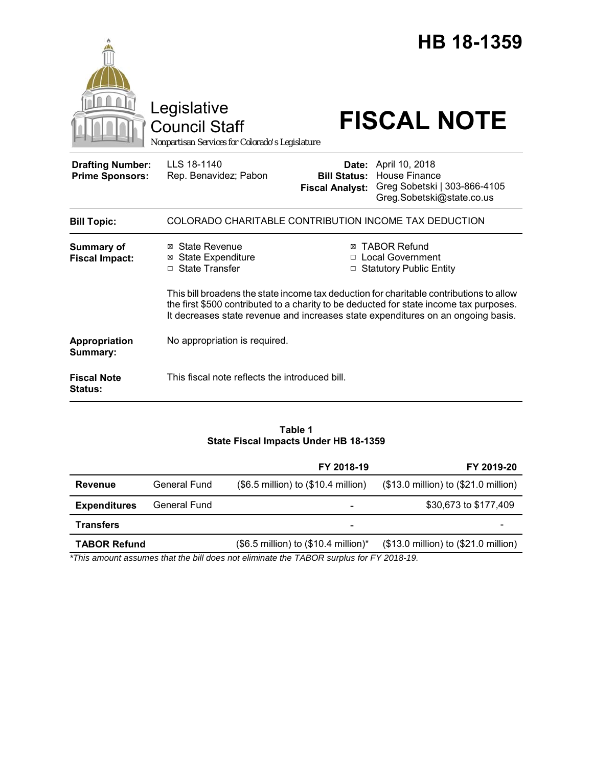|                                                   | Legislative<br><b>Council Staff</b><br>Nonpartisan Services for Colorado's Legislature |                                               | HB 18-1359<br><b>FISCAL NOTE</b>                                                                                                                                                                                                                                                                                                                     |
|---------------------------------------------------|----------------------------------------------------------------------------------------|-----------------------------------------------|------------------------------------------------------------------------------------------------------------------------------------------------------------------------------------------------------------------------------------------------------------------------------------------------------------------------------------------------------|
| <b>Drafting Number:</b><br><b>Prime Sponsors:</b> | LLS 18-1140<br>Rep. Benavidez; Pabon                                                   | <b>Bill Status:</b><br><b>Fiscal Analyst:</b> | <b>Date:</b> April 10, 2018<br><b>House Finance</b><br>Greg Sobetski   303-866-4105<br>Greg.Sobetski@state.co.us                                                                                                                                                                                                                                     |
| <b>Bill Topic:</b>                                | COLORADO CHARITABLE CONTRIBUTION INCOME TAX DEDUCTION                                  |                                               |                                                                                                                                                                                                                                                                                                                                                      |
| <b>Summary of</b><br><b>Fiscal Impact:</b>        | ⊠ State Revenue<br><b>State Expenditure</b><br>⊠<br>□ State Transfer                   | ⊠<br>□                                        | <b>TABOR Refund</b><br>□ Local Government<br><b>Statutory Public Entity</b><br>This bill broadens the state income tax deduction for charitable contributions to allow<br>the first \$500 contributed to a charity to be deducted for state income tax purposes.<br>It decreases state revenue and increases state expenditures on an ongoing basis. |
| Appropriation<br>Summary:                         | No appropriation is required.                                                          |                                               |                                                                                                                                                                                                                                                                                                                                                      |
| <b>Fiscal Note</b><br><b>Status:</b>              | This fiscal note reflects the introduced bill.                                         |                                               |                                                                                                                                                                                                                                                                                                                                                      |

## **Table 1 State Fiscal Impacts Under HB 18-1359**

|                     |              | FY 2018-19                                              | FY 2019-20                           |
|---------------------|--------------|---------------------------------------------------------|--------------------------------------|
| Revenue             | General Fund | (\$6.5 million) to (\$10.4 million)                     | (\$13.0 million) to (\$21.0 million) |
| <b>Expenditures</b> | General Fund | -                                                       | \$30,673 to \$177,409                |
| <b>Transfers</b>    |              | -                                                       |                                      |
| <b>TABOR Refund</b> |              | $($6.5 \text{ million})$ to $($10.4 \text{ million})^*$ | (\$13.0 million) to (\$21.0 million) |

*\*This amount assumes that the bill does not eliminate the TABOR surplus for FY 2018-19.*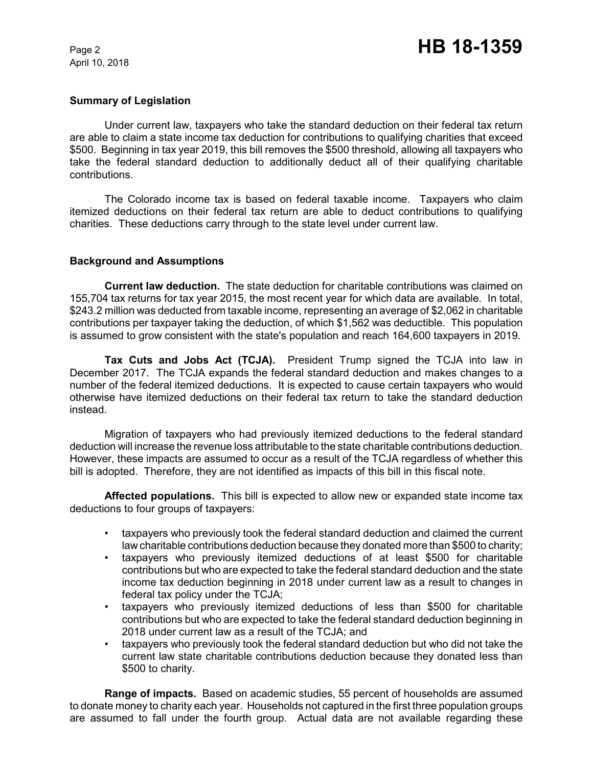April 10, 2018

### **Summary of Legislation**

Under current law, taxpayers who take the standard deduction on their federal tax return are able to claim a state income tax deduction for contributions to qualifying charities that exceed \$500. Beginning in tax year 2019, this bill removes the \$500 threshold, allowing all taxpayers who take the federal standard deduction to additionally deduct all of their qualifying charitable contributions.

The Colorado income tax is based on federal taxable income. Taxpayers who claim itemized deductions on their federal tax return are able to deduct contributions to qualifying charities. These deductions carry through to the state level under current law.

## **Background and Assumptions**

**Current law deduction.** The state deduction for charitable contributions was claimed on 155,704 tax returns for tax year 2015, the most recent year for which data are available. In total, \$243.2 million was deducted from taxable income, representing an average of \$2,062 in charitable contributions per taxpayer taking the deduction, of which \$1,562 was deductible. This population is assumed to grow consistent with the state's population and reach 164,600 taxpayers in 2019.

**Tax Cuts and Jobs Act (TCJA).** President Trump signed the TCJA into law in December 2017. The TCJA expands the federal standard deduction and makes changes to a number of the federal itemized deductions. It is expected to cause certain taxpayers who would otherwise have itemized deductions on their federal tax return to take the standard deduction instead.

Migration of taxpayers who had previously itemized deductions to the federal standard deduction will increase the revenue loss attributable to the state charitable contributions deduction. However, these impacts are assumed to occur as a result of the TCJA regardless of whether this bill is adopted. Therefore, they are not identified as impacts of this bill in this fiscal note.

**Affected populations.** This bill is expected to allow new or expanded state income tax deductions to four groups of taxpayers:

- taxpayers who previously took the federal standard deduction and claimed the current law charitable contributions deduction because they donated more than \$500 to charity;
- taxpayers who previously itemized deductions of at least \$500 for charitable contributions but who are expected to take the federal standard deduction and the state income tax deduction beginning in 2018 under current law as a result to changes in federal tax policy under the TCJA;
- taxpayers who previously itemized deductions of less than \$500 for charitable contributions but who are expected to take the federal standard deduction beginning in 2018 under current law as a result of the TCJA; and
- taxpayers who previously took the federal standard deduction but who did not take the current law state charitable contributions deduction because they donated less than \$500 to charity.

**Range of impacts.** Based on academic studies, 55 percent of households are assumed to donate money to charity each year. Households not captured in the first three population groups are assumed to fall under the fourth group. Actual data are not available regarding these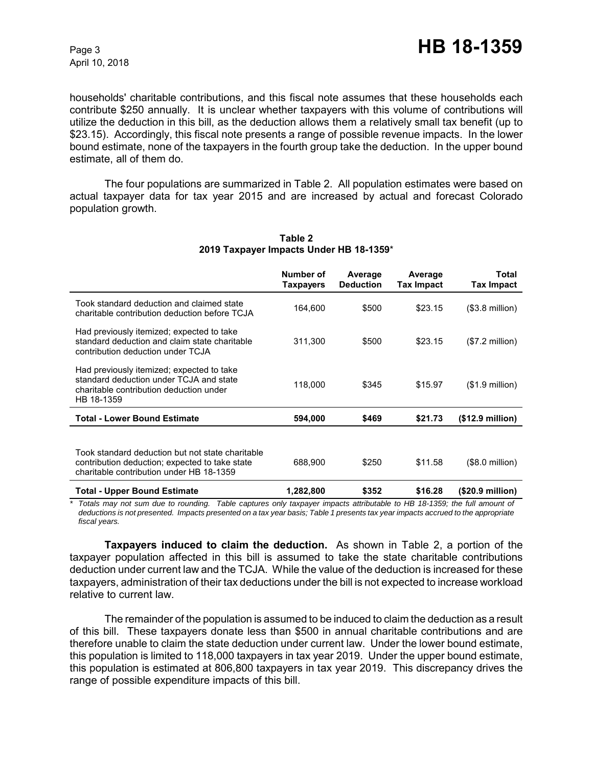households' charitable contributions, and this fiscal note assumes that these households each contribute \$250 annually. It is unclear whether taxpayers with this volume of contributions will utilize the deduction in this bill, as the deduction allows them a relatively small tax benefit (up to \$23.15). Accordingly, this fiscal note presents a range of possible revenue impacts. In the lower bound estimate, none of the taxpayers in the fourth group take the deduction. In the upper bound estimate, all of them do.

The four populations are summarized in Table 2. All population estimates were based on actual taxpayer data for tax year 2015 and are increased by actual and forecast Colorado population growth.

|                                                                                                                                                | Number of<br><b>Taxpayers</b> | Average<br><b>Deduction</b> | Average<br>Tax Impact | <b>Total</b><br><b>Tax Impact</b> |
|------------------------------------------------------------------------------------------------------------------------------------------------|-------------------------------|-----------------------------|-----------------------|-----------------------------------|
| Took standard deduction and claimed state<br>charitable contribution deduction before TCJA                                                     | 164,600                       | \$500                       | \$23.15               | $($3.8 \text{ million})$          |
| Had previously itemized; expected to take<br>standard deduction and claim state charitable<br>contribution deduction under TCJA                | 311,300                       | \$500                       | \$23.15               | $($7.2 \text{ million})$          |
| Had previously itemized; expected to take<br>standard deduction under TCJA and state<br>charitable contribution deduction under<br>HB 18-1359  | 118,000                       | \$345                       | \$15.97               | $($1.9$ million)                  |
| <b>Total - Lower Bound Estimate</b>                                                                                                            | 594,000                       | \$469                       | \$21.73               | (\$12.9 million)                  |
| Took standard deduction but not state charitable<br>contribution deduction; expected to take state<br>charitable contribution under HB 18-1359 | 688,900                       | \$250                       | \$11.58               | (\$8.0 million)                   |
| <b>Total - Upper Bound Estimate</b>                                                                                                            | 1,282,800                     | \$352                       | \$16.28               | (\$20.9 million)                  |

## **Table 2 2019 Taxpayer Impacts Under HB 18-1359**\*

*\* Totals may not sum due to rounding. Table captures only taxpayer impacts attributable to HB 18-1359; the full amount of deductions is not presented. Impacts presented on a tax year basis; Table 1 presents tax year impacts accrued to the appropriate fiscal years.*

**Taxpayers induced to claim the deduction.** As shown in Table 2, a portion of the taxpayer population affected in this bill is assumed to take the state charitable contributions deduction under current law and the TCJA. While the value of the deduction is increased for these taxpayers, administration of their tax deductions under the bill is not expected to increase workload relative to current law.

The remainder of the population is assumed to be induced to claim the deduction as a result of this bill. These taxpayers donate less than \$500 in annual charitable contributions and are therefore unable to claim the state deduction under current law. Under the lower bound estimate, this population is limited to 118,000 taxpayers in tax year 2019. Under the upper bound estimate, this population is estimated at 806,800 taxpayers in tax year 2019. This discrepancy drives the range of possible expenditure impacts of this bill.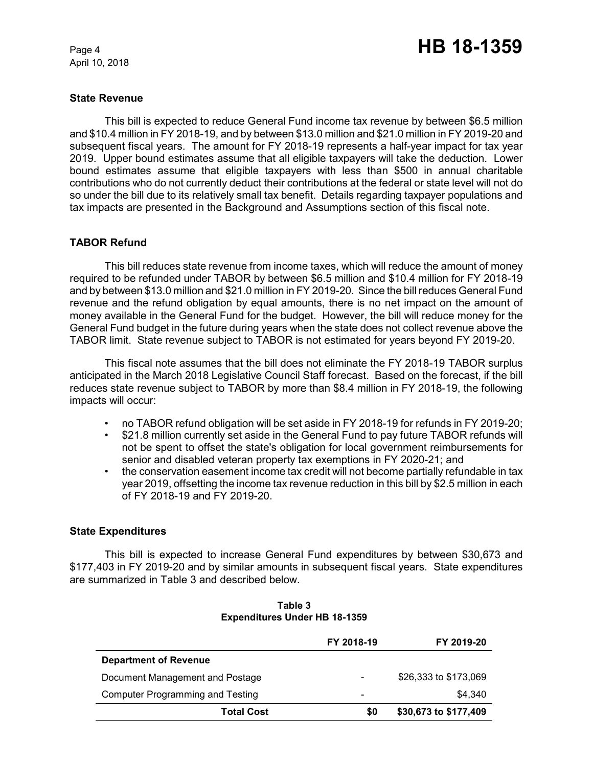April 10, 2018

### **State Revenue**

This bill is expected to reduce General Fund income tax revenue by between \$6.5 million and \$10.4 million in FY 2018-19, and by between \$13.0 million and \$21.0 million in FY 2019-20 and subsequent fiscal years. The amount for FY 2018-19 represents a half-year impact for tax year 2019. Upper bound estimates assume that all eligible taxpayers will take the deduction. Lower bound estimates assume that eligible taxpayers with less than \$500 in annual charitable contributions who do not currently deduct their contributions at the federal or state level will not do so under the bill due to its relatively small tax benefit. Details regarding taxpayer populations and tax impacts are presented in the Background and Assumptions section of this fiscal note.

# **TABOR Refund**

This bill reduces state revenue from income taxes, which will reduce the amount of money required to be refunded under TABOR by between \$6.5 million and \$10.4 million for FY 2018-19 and by between \$13.0 million and \$21.0 million in FY 2019-20. Since the bill reduces General Fund revenue and the refund obligation by equal amounts, there is no net impact on the amount of money available in the General Fund for the budget. However, the bill will reduce money for the General Fund budget in the future during years when the state does not collect revenue above the TABOR limit. State revenue subject to TABOR is not estimated for years beyond FY 2019-20.

This fiscal note assumes that the bill does not eliminate the FY 2018-19 TABOR surplus anticipated in the March 2018 Legislative Council Staff forecast. Based on the forecast, if the bill reduces state revenue subject to TABOR by more than \$8.4 million in FY 2018-19, the following impacts will occur:

- no TABOR refund obligation will be set aside in FY 2018-19 for refunds in FY 2019-20;
- \$21.8 million currently set aside in the General Fund to pay future TABOR refunds will not be spent to offset the state's obligation for local government reimbursements for senior and disabled veteran property tax exemptions in FY 2020-21; and
- the conservation easement income tax credit will not become partially refundable in tax year 2019, offsetting the income tax revenue reduction in this bill by \$2.5 million in each of FY 2018-19 and FY 2019-20.

# **State Expenditures**

This bill is expected to increase General Fund expenditures by between \$30,673 and \$177,403 in FY 2019-20 and by similar amounts in subsequent fiscal years. State expenditures are summarized in Table 3 and described below.

|                                         | FY 2018-19               | FY 2019-20            |
|-----------------------------------------|--------------------------|-----------------------|
| <b>Department of Revenue</b>            |                          |                       |
| Document Management and Postage         | $\overline{\phantom{0}}$ | \$26,333 to \$173,069 |
| <b>Computer Programming and Testing</b> | $\overline{\phantom{0}}$ | \$4.340               |
| <b>Total Cost</b>                       | \$0                      | \$30,673 to \$177,409 |

### **Table 3 Expenditures Under HB 18-1359**